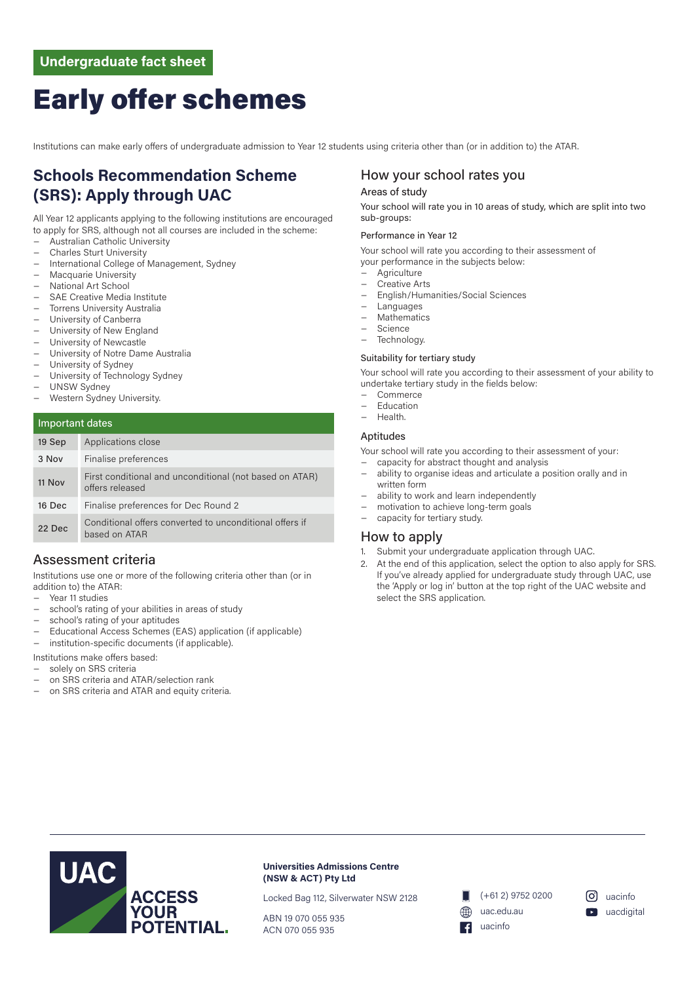# Early offer schemes

Institutions can make early offers of undergraduate admission to Year 12 students using criteria other than (or in addition to) the ATAR.

# **Schools Recommendation Scheme (SRS): Apply through UAC**

All Year 12 applicants applying to the following institutions are encouraged to apply for SRS, although not all courses are included in the scheme:

- − Australian Catholic University
- − Charles Sturt University
- − International College of Management, Sydney
- − Macquarie University
- − National Art School
- − SAE Creative Media Institute
- − Torrens University Australia
- − University of Canberra
- University of New England
- University of Newcastle
- University of Notre Dame Australia
- − University of Sydney
- − University of Technology Sydney
- − UNSW Sydney
- − Western Sydney University.

### Important dates

| 19 Sep | Applications close                                                         |  |
|--------|----------------------------------------------------------------------------|--|
| 3 Nov  | Finalise preferences                                                       |  |
| 11 Nov | First conditional and unconditional (not based on ATAR)<br>offers released |  |
| 16 Dec | Finalise preferences for Dec Round 2                                       |  |
| 22 Dec | Conditional offers converted to unconditional offers if<br>based on ATAR   |  |

### Assessment criteria

Institutions use one or more of the following criteria other than (or in addition to) the ATAR:

- − Year 11 studies
- school's rating of your abilities in areas of study
- school's rating of your aptitudes
- − Educational Access Schemes (EAS) application (if applicable)
- − institution-specific documents (if applicable).

Institutions make offers based:

- solely on SRS criteria
- − on SRS criteria and ATAR/selection rank
- on SRS criteria and ATAR and equity criteria.

### How your school rates you

### Areas of study

Your school will rate you in 10 areas of study, which are split into two sub-groups:

#### Performance in Year 12

Your school will rate you according to their assessment of your performance in the subjects below:

- − Agriculture
- − Creative Arts
- − English/Humanities/Social Sciences
- − Languages
- − Mathematics
- − Science
- Technology.

### Suitability for tertiary study

Your school will rate you according to their assessment of your ability to undertake tertiary study in the fields below:

- − Commerce
- − Education
- − Health.

#### Aptitudes

Your school will rate you according to their assessment of your:

- − capacity for abstract thought and analysis ability to organise ideas and articulate a position orally and in
- written form
- ability to work and learn independently
- motivation to achieve long-term goals capacity for tertiary study.
- 

### How to apply

- 1. Submit your undergraduate application through UAC.
- 2. At the end of this application, select the option to also apply for SRS. If you've already applied for undergraduate study through UAC, use the 'Apply or log in' button at the top right of the UAC website and select the SRS application.



**Universities Admissions Centre (NSW & ACT) Pty Ltd**

Locked Bag 112, Silverwater NSW 2128

ABN 19 070 055 935 ACN 070 055 935

(+61 2) 9752 0200 uac.edu.au uacinfo

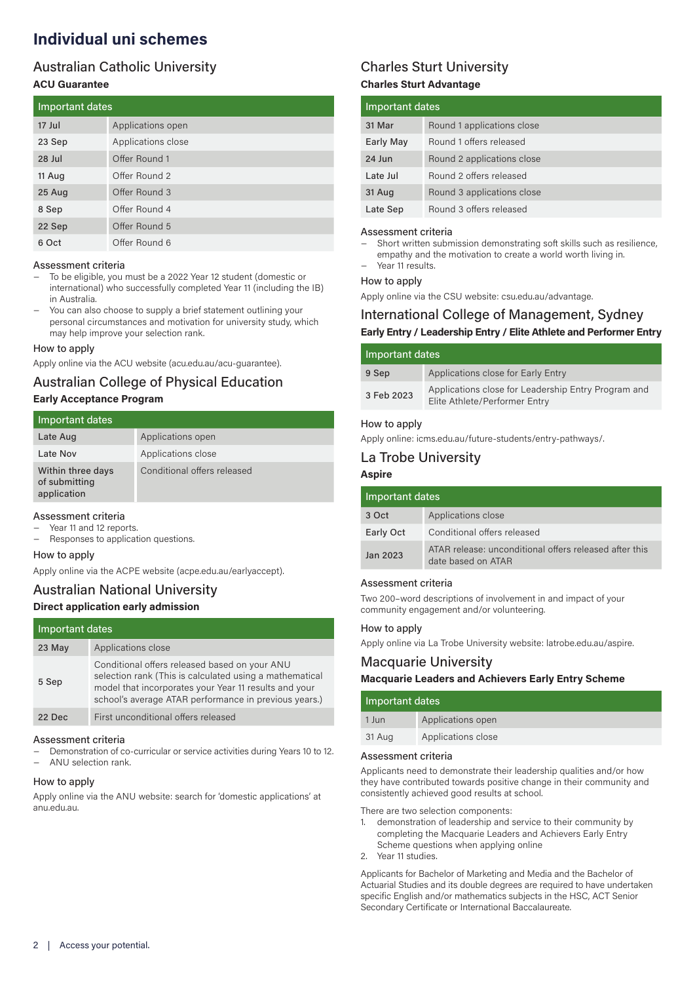# **Individual uni schemes**

### Australian Catholic University **ACU Guarantee**

| Important dates |                    |
|-----------------|--------------------|
| 17 Jul          | Applications open  |
| 23 Sep          | Applications close |
| 28 Jul          | Offer Round 1      |
| 11 Aug          | Offer Round 2      |
| 25 Aug          | Offer Round 3      |
| 8 Sep           | Offer Round 4      |
| 22 Sep          | Offer Round 5      |
| 6 Oct           | Offer Round 6      |

### Assessment criteria

- − To be eligible, you must be a 2022 Year 12 student (domestic or international) who successfully completed Year 11 (including the IB) in Australia.
- You can also choose to supply a brief statement outlining your personal circumstances and motivation for university study, which may help improve your selection rank.

### How to apply

Apply online via the ACU website (acu.edu.au/acu-guarantee).

# Australian College of Physical Education

### **Early Acceptance Program**

| Important dates                                   |                             |
|---------------------------------------------------|-----------------------------|
| Late Aug                                          | Applications open           |
| Late Nov                                          | Applications close          |
| Within three days<br>of submitting<br>application | Conditional offers released |

### Assessment criteria

- − Year 11 and 12 reports.
- − Responses to application questions.

### How to apply

Apply online via the ACPE website (acpe.edu.au/earlyaccept).

### Australian National University **Direct application early admission**

| Important dates |                                                                                                                                                                                                                            |
|-----------------|----------------------------------------------------------------------------------------------------------------------------------------------------------------------------------------------------------------------------|
| 23 May          | Applications close                                                                                                                                                                                                         |
| 5 Sep           | Conditional offers released based on your ANU<br>selection rank (This is calculated using a mathematical<br>model that incorporates your Year 11 results and your<br>school's average ATAR performance in previous years.) |
| 22 Dec          | First unconditional offers released                                                                                                                                                                                        |

#### Assessment criteria

- − Demonstration of co-curricular or service activities during Years 10 to 12.
- − ANU selection rank.

### How to apply

Apply online via the ANU website: search for 'domestic applications' at anu.edu.au.

### Charles Sturt University **Charles Sturt Advantage**

| Important dates |                            |
|-----------------|----------------------------|
| 31 Mar          | Round 1 applications close |
| Early May       | Round 1 offers released    |
| 24 Jun          | Round 2 applications close |
| Late Jul        | Round 2 offers released    |
| 31 Aug          | Round 3 applications close |
| Late Sep        | Round 3 offers released    |

#### Assessment criteria

Short written submission demonstrating soft skills such as resilience, empathy and the motivation to create a world worth living in. − Year 11 results.

### How to apply

Apply online via the CSU website: csu.edu.au/advantage.

### International College of Management, Sydney **Early Entry / Leadership Entry / Elite Athlete and Performer Entry**

| Important dates |                                                                                      |
|-----------------|--------------------------------------------------------------------------------------|
| 9 Sep           | Applications close for Early Entry                                                   |
| 3 Feb 2023      | Applications close for Leadership Entry Program and<br>Elite Athlete/Performer Entry |

### How to apply

Apply online: icms.edu.au/future-students/entry-pathways/.

### La Trobe University

### **Aspire**

| Important dates |                                                                              |
|-----------------|------------------------------------------------------------------------------|
| 3 Oct           | Applications close                                                           |
| Early Oct       | Conditional offers released                                                  |
| Jan 2023        | ATAR release: unconditional offers released after this<br>date based on ATAR |

### Assessment criteria

Two 200–word descriptions of involvement in and impact of your community engagement and/or volunteering.

### How to apply

Apply online via La Trobe University website: latrobe.edu.au/aspire.

### Macquarie University

### **Macquarie Leaders and Achievers Early Entry Scheme**

| Important dates    |  |  |
|--------------------|--|--|
| Applications open  |  |  |
| Applications close |  |  |
|                    |  |  |

#### Assessment criteria

Applicants need to demonstrate their leadership qualities and/or how they have contributed towards positive change in their community and consistently achieved good results at school.

There are two selection components:

- 1. demonstration of leadership and service to their community by completing the Macquarie Leaders and Achievers Early Entry Scheme questions when applying online
- 2. Year 11 studies.

Applicants for Bachelor of Marketing and Media and the Bachelor of Actuarial Studies and its double degrees are required to have undertaken specific English and/or mathematics subjects in the HSC, ACT Senior Secondary Certificate or International Baccalaureate.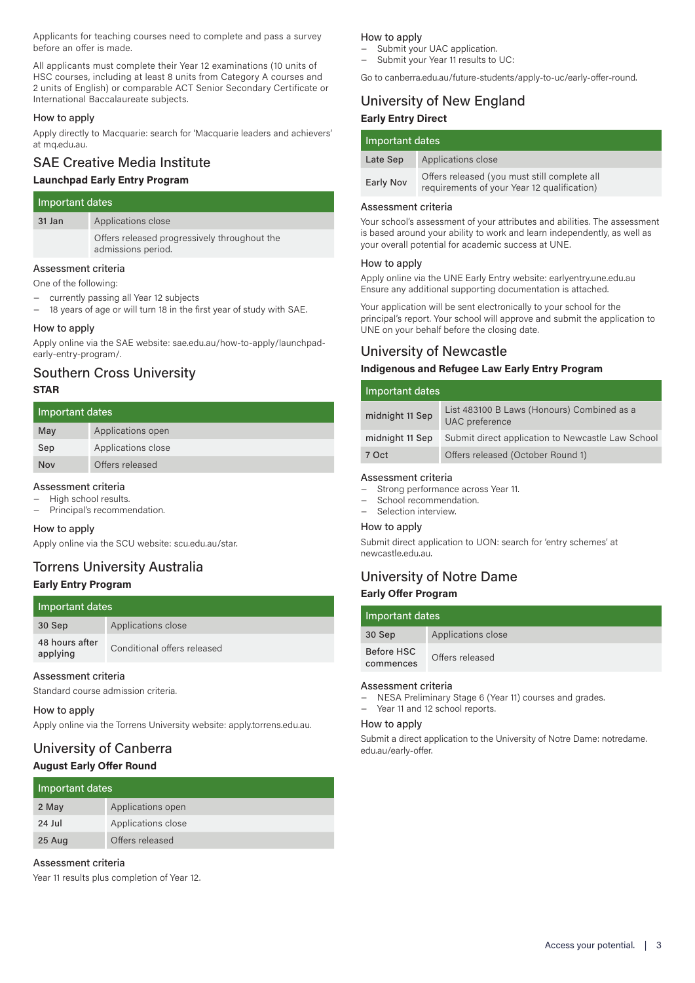Applicants for teaching courses need to complete and pass a survey before an offer is made.

All applicants must complete their Year 12 examinations (10 units of HSC courses, including at least 8 units from Category A courses and 2 units of English) or comparable ACT Senior Secondary Certificate or International Baccalaureate subjects.

### How to apply

Apply directly to Macquarie: search for 'Macquarie leaders and achievers' at mq.edu.au.

# SAE Creative Media Institute

# **Launchpad Early Entry Program**

| Important dates |                                                                    |
|-----------------|--------------------------------------------------------------------|
| 31 Jan          | Applications close                                                 |
|                 | Offers released progressively throughout the<br>admissions period. |
|                 |                                                                    |

### Assessment criteria

One of the following:

- currently passing all Year 12 subjects
- 18 years of age or will turn 18 in the first year of study with SAE.

### How to apply

Apply online via the SAE website: sae.edu.au/how-to-apply/launchpadearly-entry-program/.

### Southern Cross University **STAR**

| Important dates |                    |
|-----------------|--------------------|
| May             | Applications open  |
| Sep             | Applications close |
| Nov             | Offers released    |

### Assessment criteria

− High school results.

− Principal's recommendation.

### How to apply

Apply online via the SCU website: scu.edu.au/star.

### Torrens University Australia **Early Entry Program**

### Important dates

| 30 Sep                     | Applications close          |
|----------------------------|-----------------------------|
| 48 hours after<br>applying | Conditional offers released |

### Assessment criteria

Standard course admission criteria.

### How to apply

Apply online via the Torrens University website: apply.torrens.edu.au.

### University of Canberra **August Early Offer Round**

| Important dates |                    |
|-----------------|--------------------|
| 2 May           | Applications open  |
| $24$ Jul        | Applications close |
| 25 Aug          | Offers released    |

### Assessment criteria

Year 11 results plus completion of Year 12.

### How to apply

- Submit your UAC application. − Submit your Year 11 results to UC:
- Go to canberra.edu.au/future-students/apply-to-uc/early-offer-round.
- University of New England

### **Early Entry Direct**

| Important dates |                                                                                             |
|-----------------|---------------------------------------------------------------------------------------------|
| Late Sep        | Applications close                                                                          |
| Early Nov       | Offers released (you must still complete all<br>requirements of your Year 12 qualification) |

### Assessment criteria

Your school's assessment of your attributes and abilities. The assessment is based around your ability to work and learn independently, as well as your overall potential for academic success at UNE.

### How to apply

Apply online via the UNE Early Entry website: earlyentry.une.edu.au Ensure any additional supporting documentation is attached.

Your application will be sent electronically to your school for the principal's report. Your school will approve and submit the application to UNE on your behalf before the closing date.

### University of Newcastle

### **Indigenous and Refugee Law Early Entry Program**

| Important dates |                                                              |  |
|-----------------|--------------------------------------------------------------|--|
| midnight 11 Sep | List 483100 B Laws (Honours) Combined as a<br>UAC preference |  |
| midnight 11 Sep | Submit direct application to Newcastle Law School            |  |
| 7 Oct           | Offers released (October Round 1)                            |  |

#### Assessment criteria

- Strong performance across Year 11.
- School recommendation.
- Selection interview.

#### How to apply

Submit direct application to UON: search for 'entry schemes' at newcastle.edu.au.

# University of Notre Dame

### **Early Offer Program**

| Important dates         |                    |
|-------------------------|--------------------|
| 30 Sep                  | Applications close |
| Before HSC<br>commences | Offers released    |

### Assessment criteria

- − NESA Preliminary Stage 6 (Year 11) courses and grades.
	- − Year 11 and 12 school reports.

### How to apply

Submit a direct application to the University of Notre Dame: notredame. edu.au/early-offer.